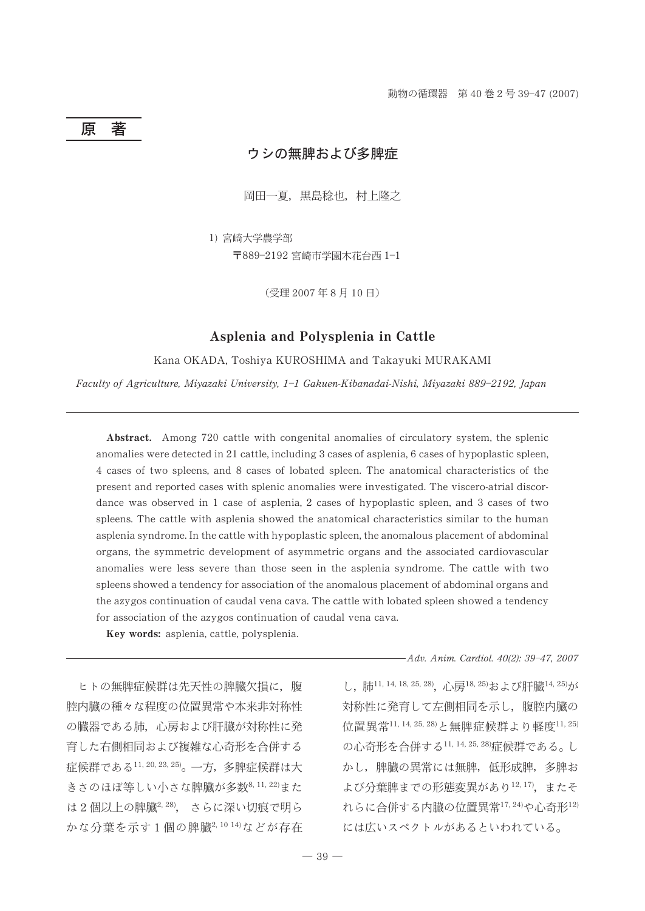#### 原 著

# ウシの無脾および多脾症

岡田一夏, 黒島稔也, 村上隆之

1) 宮崎大学農学部

〒889-2192 宮崎市学園木花台西 1-1

(受理 2007年8月10日)

## Asplenia and Polysplenia in Cattle

Kana OKADA, Toshiya KUROSHIMA and Takayuki MURAKAMI

Faculty of Agriculture, Miyazaki University, 1-1 Gakuen-Kibanadai-Nishi, Miyazaki 889-2192, Japan

Abstract. Among 720 cattle with congenital anomalies of circulatory system, the splenic anomalies were detected in 21 cattle, including 3 cases of asplenia, 6 cases of hypoplastic spleen, 4 cases of two spleens, and 8 cases of lobated spleen. The anatomical characteristics of the present and reported cases with splenic anomalies were investigated. The viscero-atrial discordance was observed in 1 case of asplenia, 2 cases of hypoplastic spleen, and 3 cases of two spleens. The cattle with asplenia showed the anatomical characteristics similar to the human asplenia syndrome. In the cattle with hypoplastic spleen, the anomalous placement of abdominal organs, the symmetric development of asymmetric organs and the associated cardiovascular anomalies were less severe than those seen in the asplenia syndrome. The cattle with two spleens showed a tendency for association of the anomalous placement of abdominal organs and the azygos continuation of caudal vena cava. The cattle with lobated spleen showed a tendency for association of the azygos continuation of caudal vena cava.

Key words: asplenia, cattle, polysplenia.

ヒトの無脾症候群は先天性の脾臓欠相に、腹 腔内臓の種々な程度の位置異常や本来非対称性 の臓器である肺、心房および肝臓が対称性に発 育した右側相同および複雑な心奇形を合併する 症候群である11,20,23,25)。一方、多脾症候群は大 きさのほぼ等しい小さな脾臓が多数8,11,22)また は2個以上の脾臓2,28)、さらに深い切痕で明ら かな分葉を示す1個の脾臓2,1014)などが存在 -Adv. Anim. Cardiol. 40(2): 39-47, 2007

し、肺11, 14, 18, 25, 28), 心房18, 25)および肝臓14, 25)が 対称性に発育して左側相同を示し、腹腔内臓の 位置異常11, 14, 25, 28)と無脾症候群より軽度11, 25) の心奇形を合併する11, 14, 25, 28)症候群である。し かし、脾臓の異常には無脾、低形成脾、多脾お よび分葉脾までの形態変異があり12,17). またそ れらに合併する内臓の位置異常17,24)や心奇形12) には広いスペクトルがあるといわれている。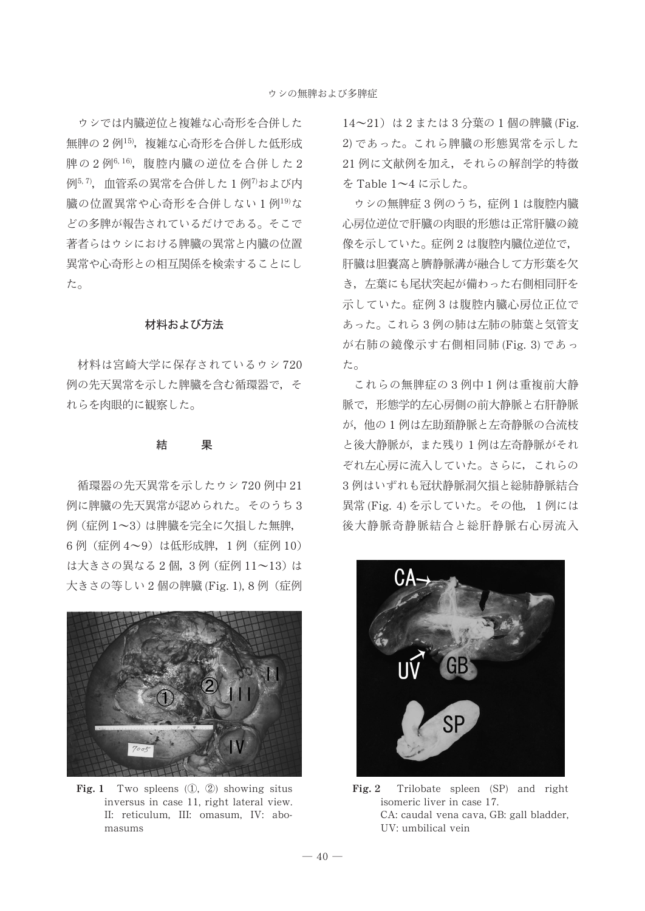ウシでは内臓逆位と複雑な心奇形を合併した 無脾の2例<sup>15)</sup>,複雑な心奇形を合併した低形成 脾の2例6.16)、腹腔内臓の逆位を合併した2 例<sup>5, 7</sup>, 血管系の異常を合併した1例<sup>7</sup>および内 臓の位置異常や心奇形を合併しない1例<sup>19)</sup>な どの多脾が報告されているだけである。そこで 著者らはウシにおける脾臓の異常と内臓の位置 畢常や心奇形との相互関係を検索することにし た。

## 材料および方法

材料は宮崎大学に保存されているウシ 720 例の先天異常を示した脾臓を含む循環器で、そ れらを肉眼的に観察した。

## 

循環器の先天異常を示したウシ720例中21 例に脾臓の先天異常が認められた。そのうち3 例 (症例1~3)は脾臓を完全に欠損した無脾. 6例 (症例 4~9) は低形成脾, 1例 (症例 10) は大きさの異なる2個, 3例 (症例 11~13)は 大きさの等しい 2 個の脾臓 (Fig. 1), 8 例 (症例



Fig. 1 Two spleens  $(1, 2)$  showing situs inversus in case 11, right lateral view. II: reticulum, III: omasum, IV: abomasums

14~21) は2または3分葉の1個の脾臓 (Fig. 2) であった。これら脾臓の形態異常を示した 21 例に文献例を加え、それらの解剖学的特徴 を Table  $1 \sim 4$  に示した。

ウシの無脾症3例のうち、症例1は腹腔内臓 心房位逆位で肝臓の肉眼的形態は正常肝臓の鏡 像を示していた。症例2は腹腔内臓位逆位で, 肝臓は胆嚢窩と臍静脈溝が融合して方形葉を欠 き、左葉にも尾状突起が備わった右側相同肝を 示していた。症例3は腹腔内臓心房位正位で あった。これら3例の肺は左肺の肺葉と気管支 が右肺の鏡像示す右側相同肺 (Fig. 3) であっ た。

これらの無脾症の3例中1例は重複前大静 脈で、形態学的左心房側の前大静脈と右肝静脈 が、他の1例は左助頚静脈と左奇静脈の合流枝 と後大静脈が、また残り1例は左奇静脈がそれ ぞれ左心房に流入していた。さらに、これらの 3例はいずれも冠状静脈洞欠損と総肺静脈結合 異常 (Fig. 4) を示していた。その他, 1例には 後大静脈奇静脈結合と総肝静脈右心房流入



Fig. 2 Trilobate spleen (SP) and right isomeric liver in case 17. CA: caudal vena cava, GB: gall bladder, UV: umbilical vein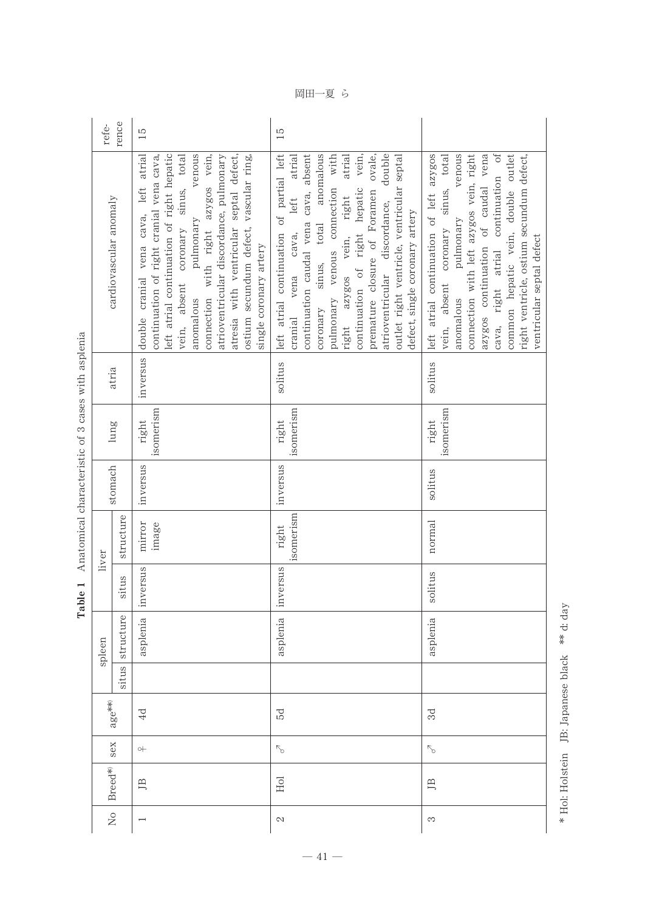| ļ<br>۱<br>ı<br>۱<br>$\overline{a}$<br>l<br>Í<br>í<br>i<br>ļ<br>ł<br>j<br>l<br>l<br>i<br>Ï<br>Ï<br>$\sim$ $\sim$ $\sim$<br>j |  |
|-----------------------------------------------------------------------------------------------------------------------------|--|
| $\cdot$<br>¢<br>Ò<br>۱,<br>١<br>ı                                                                                           |  |
| ì<br>Ì<br>۱<br>$\ddot{\phantom{0}}$<br>ï<br>I<br>l<br>ı<br>j                                                                |  |
| i<br>j<br>-------------<br>j<br>l<br>ı<br>ı<br>ı<br>ı<br>l<br>l<br>l                                                        |  |
| ٠<br>j<br>۱<br>ı<br>i<br>t<br>ׇ֠                                                                                            |  |

| refe-                  | rence               | $\frac{5}{2}$                                                                                                                                                                                                                                                                                                                                                                                               | $\overline{15}$                                                                                                                                                                                                                                                                                                                                                                                                                                    |                                                                                                                                                                                                                                                                                                                                                            |
|------------------------|---------------------|-------------------------------------------------------------------------------------------------------------------------------------------------------------------------------------------------------------------------------------------------------------------------------------------------------------------------------------------------------------------------------------------------------------|----------------------------------------------------------------------------------------------------------------------------------------------------------------------------------------------------------------------------------------------------------------------------------------------------------------------------------------------------------------------------------------------------------------------------------------------------|------------------------------------------------------------------------------------------------------------------------------------------------------------------------------------------------------------------------------------------------------------------------------------------------------------------------------------------------------------|
| cardiovascular anomaly |                     | left atrial continuation of right hepatic<br>venous<br>connection with right azygos vein,<br>atresia with ventricular septal defect,<br>left atrial<br>vein, absent coronary sinus, total<br>atrioventricular discordance, pulmonary<br>continuation of right cranial vena cava,<br>ostium secundum defect, vascular ring,<br>double cranial vena cava,<br>pulmonary<br>single coronary artery<br>anomalous | left atrial continuation of partial left<br>continuation caudal vena cava, absent<br>coronary sinus, total anomalous<br>double<br>pulmonary venous connection with<br>atrial<br>vein,<br>premature closure of Foramen ovale,<br>atrial<br>outlet right ventricle, ventricular septal<br>vena cava, left<br>continuation of right hepatic<br>right azygos vein, right<br>atrioventricular discordance,<br>defect, single coronary artery<br>cranial | venous<br>left atrial continuation of left azygos<br>connection with left azygos vein, right<br>azygos continuation of caudal vena<br>cava, right atrial continuation of<br>common hepatic vein, double outlet<br>sinus, total<br>right ventricle, ostium secundum defect,<br>pulmonary<br>vein, absent coronary<br>ventricular septal defect<br>anomalous |
|                        | atria               | inversus                                                                                                                                                                                                                                                                                                                                                                                                    | solitus                                                                                                                                                                                                                                                                                                                                                                                                                                            | solitus                                                                                                                                                                                                                                                                                                                                                    |
|                        | lung                | isomerism<br>right                                                                                                                                                                                                                                                                                                                                                                                          | isomerism<br>right                                                                                                                                                                                                                                                                                                                                                                                                                                 | isomerism<br>right                                                                                                                                                                                                                                                                                                                                         |
|                        | stomach             | inversus                                                                                                                                                                                                                                                                                                                                                                                                    | inversus                                                                                                                                                                                                                                                                                                                                                                                                                                           | solitus                                                                                                                                                                                                                                                                                                                                                    |
| liver                  | structure           | mirror<br>image                                                                                                                                                                                                                                                                                                                                                                                             | isomerism<br>right                                                                                                                                                                                                                                                                                                                                                                                                                                 | normal                                                                                                                                                                                                                                                                                                                                                     |
|                        | situs               | inversus                                                                                                                                                                                                                                                                                                                                                                                                    | inversus                                                                                                                                                                                                                                                                                                                                                                                                                                           | solitus                                                                                                                                                                                                                                                                                                                                                    |
| spleen                 | structure           | asplenia                                                                                                                                                                                                                                                                                                                                                                                                    | asplenia                                                                                                                                                                                                                                                                                                                                                                                                                                           | asplenia                                                                                                                                                                                                                                                                                                                                                   |
|                        | situs               |                                                                                                                                                                                                                                                                                                                                                                                                             |                                                                                                                                                                                                                                                                                                                                                                                                                                                    |                                                                                                                                                                                                                                                                                                                                                            |
|                        | $\mathrm{age}^{**}$ | 4d                                                                                                                                                                                                                                                                                                                                                                                                          | 5d                                                                                                                                                                                                                                                                                                                                                                                                                                                 | $_{\rm 3d}$                                                                                                                                                                                                                                                                                                                                                |
|                        | sex                 | $\circ\vdash$                                                                                                                                                                                                                                                                                                                                                                                               | $\nabla_{\!\!\sigma}$                                                                                                                                                                                                                                                                                                                                                                                                                              | $\sqrt{2}$                                                                                                                                                                                                                                                                                                                                                 |
| Breed*                 |                     | ЛВ                                                                                                                                                                                                                                                                                                                                                                                                          | Hol                                                                                                                                                                                                                                                                                                                                                                                                                                                | ЛВ                                                                                                                                                                                                                                                                                                                                                         |
| $_{\rm N_O}$           |                     |                                                                                                                                                                                                                                                                                                                                                                                                             | $\mathbb{C}^2$                                                                                                                                                                                                                                                                                                                                                                                                                                     | S                                                                                                                                                                                                                                                                                                                                                          |

岡田一夏 ら

\* Hol: Holstein JB: Japanese black \*\* d: day Hol: Holstein JB: Japanese black d: day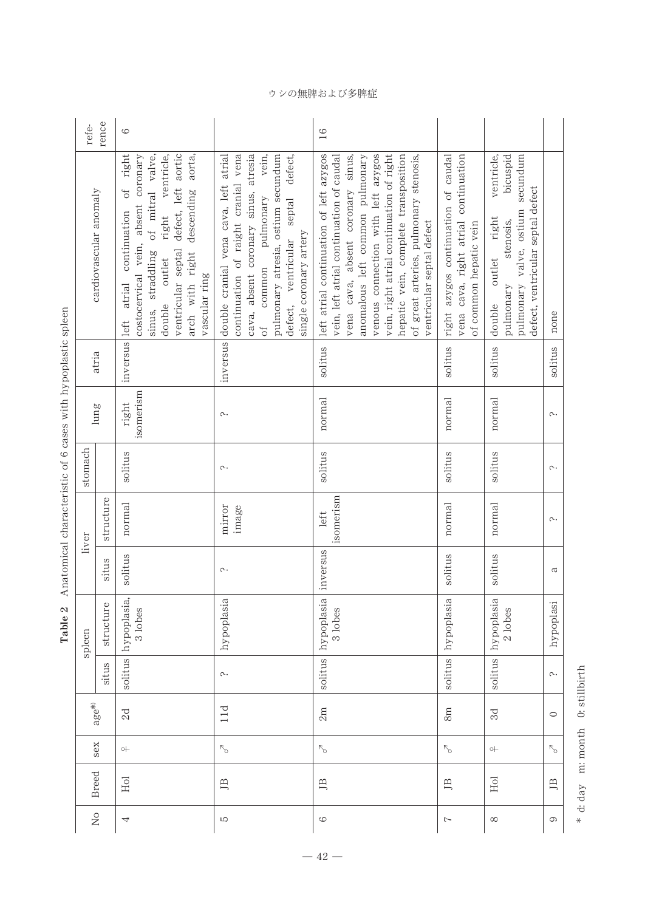|                 | rence<br>refe-         | 6                                                                                                                                                                                                                                                                                |                                                                                                                                                                                                                                                                  | 16                                                                                                                                                                                                                                                                                                                                                           |                                                                                                       |                                                                                                                                                           |           |
|-----------------|------------------------|----------------------------------------------------------------------------------------------------------------------------------------------------------------------------------------------------------------------------------------------------------------------------------|------------------------------------------------------------------------------------------------------------------------------------------------------------------------------------------------------------------------------------------------------------------|--------------------------------------------------------------------------------------------------------------------------------------------------------------------------------------------------------------------------------------------------------------------------------------------------------------------------------------------------------------|-------------------------------------------------------------------------------------------------------|-----------------------------------------------------------------------------------------------------------------------------------------------------------|-----------|
|                 | cardiovascular anomaly | right<br>ventricular septal defect, left aortic<br>costocervical vein, absent coronary<br>of mitral valve,<br>right ventricle,<br>aorta,<br>arch with right descending<br>$\sigma$ f<br>inversus left atrial continuation<br>sinus, straddling<br>double outlet<br>vascular ring | continuation of raight cranial vena<br>cava, absent coronary sinus, atresia<br>vein,<br>double cranial vena cava, left atrial<br>pulmonary atresia, ostium secundum<br>defect,<br>defect, ventricular septal<br>common pulmonary<br>single coronary artery<br>of | left atrial continuation of left azygos<br>venous connection with left azygos<br>vein, right atrial continuation of right<br>vena cava, absent coronary sinus,<br>anomalous left common pulmonary<br>hepatic vein, complete transposition<br>of great arteries, pulmonary stenosis,<br>vein, left atrial continuation of caudal<br>ventricular septal defect | right azygos continuation of caudal<br>vena cava, right atrial continuation<br>of common hepatic vein | ventricle,<br>secundum<br>bicuspid<br>defect, ventricular septal defect<br>pulmonary valve, ostium<br>right<br>stenosis,<br>outlet<br>pulmonary<br>double | none      |
|                 | atria                  |                                                                                                                                                                                                                                                                                  | inversus                                                                                                                                                                                                                                                         | solitus                                                                                                                                                                                                                                                                                                                                                      | solitus                                                                                               | solitus                                                                                                                                                   | solitus   |
|                 | $l$ ung                | isomerism<br>right                                                                                                                                                                                                                                                               | $\sim$                                                                                                                                                                                                                                                           | normal                                                                                                                                                                                                                                                                                                                                                       | normal                                                                                                | normal                                                                                                                                                    | $\sim$    |
| stomach         |                        | solitus                                                                                                                                                                                                                                                                          | $\sim$                                                                                                                                                                                                                                                           | solitus                                                                                                                                                                                                                                                                                                                                                      | solitus                                                                                               | solitus                                                                                                                                                   | $\sim$    |
| liver<br>spleen |                        | structure<br>normal                                                                                                                                                                                                                                                              | mirror<br>image                                                                                                                                                                                                                                                  | isomerism<br>left                                                                                                                                                                                                                                                                                                                                            | normal                                                                                                | normal                                                                                                                                                    | $\sim$    |
|                 | situs                  | solitus                                                                                                                                                                                                                                                                          | $\sim$                                                                                                                                                                                                                                                           | inversus                                                                                                                                                                                                                                                                                                                                                     | solitus                                                                                               | solitus                                                                                                                                                   | a         |
|                 |                        | hypoplasia,<br>structure<br>3 lobes                                                                                                                                                                                                                                              | hypoplasia                                                                                                                                                                                                                                                       | hypoplasia<br>3 lobes                                                                                                                                                                                                                                                                                                                                        | hypoplasia                                                                                            | hypoplasia<br>2 lobes                                                                                                                                     | hypoplasi |
|                 | situs                  | solitus                                                                                                                                                                                                                                                                          | $\sim$                                                                                                                                                                                                                                                           | $\overline{u}$<br>solit                                                                                                                                                                                                                                                                                                                                      | solitus                                                                                               | solitus                                                                                                                                                   | $\sim$    |
|                 | $age*$                 | 2d                                                                                                                                                                                                                                                                               | 11d                                                                                                                                                                                                                                                              | 2m                                                                                                                                                                                                                                                                                                                                                           | 8m                                                                                                    | $_{\rm 3d}$                                                                                                                                               | $\circ$   |
|                 | sex                    | $\circ +$                                                                                                                                                                                                                                                                        |                                                                                                                                                                                                                                                                  |                                                                                                                                                                                                                                                                                                                                                              | $\mathcal{L}_{\mathcal{O}}$                                                                           | $\circ +$                                                                                                                                                 | $\nabla$  |
|                 | <b>Breed</b>           | Hol                                                                                                                                                                                                                                                                              | ЛB                                                                                                                                                                                                                                                               | ЛB                                                                                                                                                                                                                                                                                                                                                           | $\Box$                                                                                                | Hol                                                                                                                                                       | JВ        |
| $\overline{M}$  |                        | 4                                                                                                                                                                                                                                                                                | LO                                                                                                                                                                                                                                                               | 6                                                                                                                                                                                                                                                                                                                                                            | $\rightarrow$                                                                                         | $\infty$                                                                                                                                                  | 6         |

Table 2 Anatomical characteristic of 6 cases with hypoplastic spleen Table 2 Anatomical characteristic of 6 cases with hypoplastic spleen

> \* d: day m: month 0: stillbirth d: day m: month 0: stillbirth

ウシの無脾および多脾症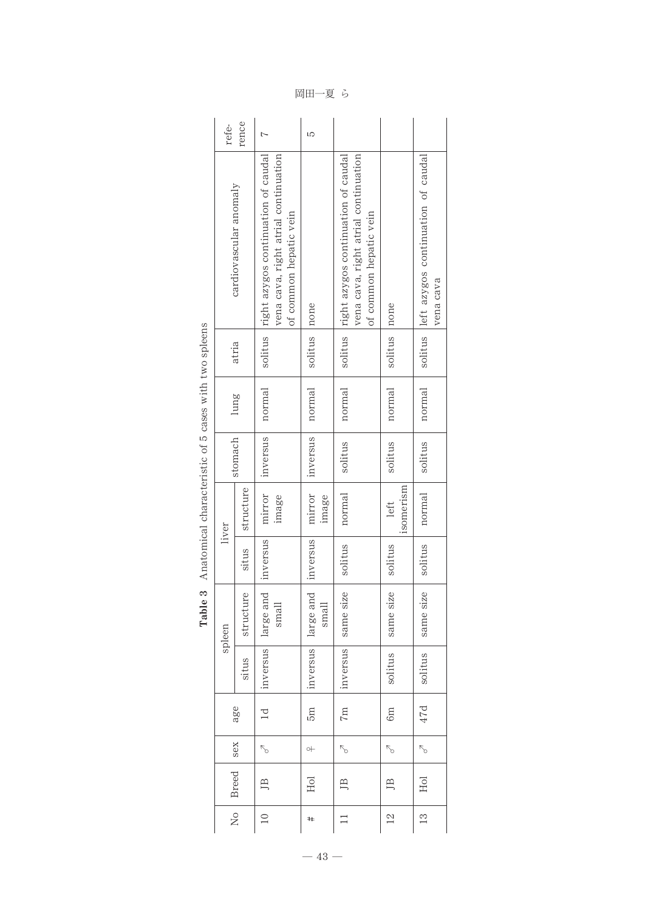| refe-        | rence                  | N                                                                                                     | LO                 |                                                                                                                 |                             |                                                         |
|--------------|------------------------|-------------------------------------------------------------------------------------------------------|--------------------|-----------------------------------------------------------------------------------------------------------------|-----------------------------|---------------------------------------------------------|
|              | cardiovascular anomaly | right azygos continuation of caudal<br>vena cava, right atrial continuation<br>of common hepatic vein |                    | solitus   right azygos continuation of caudal<br>vena cava, right atrial continuation<br>of common hepatic vein | none                        | solitus left azygos continuation of caudal<br>vena cava |
|              | atria                  | solitus                                                                                               | solitus   none     |                                                                                                                 | solitus                     |                                                         |
|              | lung                   | normal                                                                                                | normal             | normal                                                                                                          | normal                      | normal                                                  |
|              | stomach                | inversus                                                                                              | inversus           | solitus                                                                                                         | solitus                     | solitus                                                 |
| liver        | structure              | mirror<br>image                                                                                       | mirror<br>image    | normal                                                                                                          | isomerism<br>left           | normal                                                  |
|              | situs                  | inversus                                                                                              | inversus           | solitus                                                                                                         | solitus                     | solitus                                                 |
| spleen       | structure              | large and<br>small                                                                                    | large and<br>small | same size                                                                                                       | same size                   | same size                                               |
|              | ST<br>situ             | inversus                                                                                              | inversus           | inversus                                                                                                        | tus<br>soli                 | tus<br>soli                                             |
|              | age                    | $\overline{\mathsf{C}}$                                                                               | 5m                 | 7m                                                                                                              | 6m                          | 47d                                                     |
|              | sex                    | $\mathcal{L}_{\mathcal{O}}$                                                                           | $\circ\vdash$      | $\sigma^2$                                                                                                      | $\mathcal{L}_{\mathcal{O}}$ | $\sigma$                                                |
| <b>Breed</b> |                        | 巴                                                                                                     | EoI                | 鸟                                                                                                               | 巴                           | Hol                                                     |
|              | $\frac{1}{2}$          | $\supseteq$                                                                                           | #                  |                                                                                                                 | $^{2}$                      | $\frac{3}{2}$                                           |

| ļ<br>I<br>j<br>ť<br>ł                                                                                                   |
|-------------------------------------------------------------------------------------------------------------------------|
|                                                                                                                         |
| $\ddot{\phantom{a}}$<br>$\overline{a}$<br>-<br>-<br>-<br>-<br>ï                                                         |
| $\overline{5}$ and $\overline{2}$                                                                                       |
|                                                                                                                         |
|                                                                                                                         |
| $\ddot{\phantom{0}}$<br>しょうせい<br>ł<br>ı<br>í<br>í<br>ah asa a<br>í<br>í<br>ť                                            |
| ı<br>$\Lambda$ so $\alpha$ + $\alpha$ see $\alpha$ , $\alpha$ $\alpha$ $\gamma$<br>١<br>í<br>i<br>ı<br>ı<br>ï<br>ľ<br>í |
| ಣ<br>ı<br>J<br>E<br>ł                                                                                                   |

岡田一夏 ら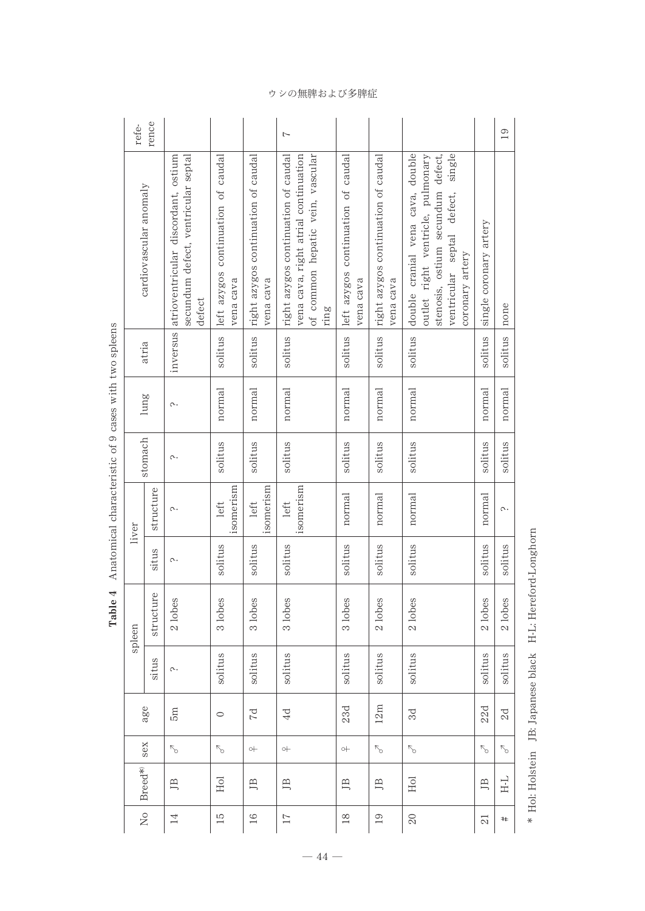|                                                                                                                                                                                                                                | refe-                      | rence     |                                                                                               |                                                 |                                                  | 7                                                                                                                       |                                                 |                                                  |                                                                                                                                                                          |                        | 19          |
|--------------------------------------------------------------------------------------------------------------------------------------------------------------------------------------------------------------------------------|----------------------------|-----------|-----------------------------------------------------------------------------------------------|-------------------------------------------------|--------------------------------------------------|-------------------------------------------------------------------------------------------------------------------------|-------------------------------------------------|--------------------------------------------------|--------------------------------------------------------------------------------------------------------------------------------------------------------------------------|------------------------|-------------|
|                                                                                                                                                                                                                                | cardiovascular anomaly     |           | secundum defect, ventricular septal<br>inversus atrioventricular discordant, ostium<br>defect | left azygos continuation of caudal<br>vena cava | right azygos continuation of caudal<br>vena cava | right azygos continuation of caudal<br>of common hepatic vein, vascular<br>vena cava, right atrial continuation<br>ring | left azygos continuation of caudal<br>vena cava | right azygos continuation of caudal<br>vena cava | double cranial vena cava, double<br>single<br>stenosis, ostium secundum defect,<br>outlet right ventricle, pulmonary<br>defect,<br>ventricular septal<br>coronary artery | single coronary artery | none        |
|                                                                                                                                                                                                                                | atria                      |           |                                                                                               | solitus                                         | solitus                                          | solitus                                                                                                                 | solitus                                         | solitus                                          | solitus                                                                                                                                                                  | solitus                | solitus     |
|                                                                                                                                                                                                                                | lung                       |           | $\sim$                                                                                        | normal                                          | normal                                           | normal                                                                                                                  | normal                                          | normal                                           | normal                                                                                                                                                                   | normal                 | normal      |
| with a product with a burble with a burble with a product is a product of the state of the state of the state of the state of the state of the state of the state of the state of the state of the state of the state of the s | stomach                    |           | $\sim$                                                                                        | solitus                                         | solitus                                          | solitus                                                                                                                 | solitus                                         | solitus                                          | solitus                                                                                                                                                                  | solitus                | solitus     |
|                                                                                                                                                                                                                                | liver                      | structure | $\sim$                                                                                        | isomerism<br>left                               | isomerism<br>left                                | isomerism<br>left                                                                                                       | normal                                          | normal                                           | normal                                                                                                                                                                   | normal                 | ς.          |
|                                                                                                                                                                                                                                |                            | situs     | ς.                                                                                            | solitus                                         | solitus                                          | solitus                                                                                                                 | solitus                                         | solitus                                          | solitus                                                                                                                                                                  | solitus                | solitus     |
| $\sim$ 10.00 $\pm$                                                                                                                                                                                                             | spleen                     | structure | 2 lobes                                                                                       | 3 lobes                                         | 3 lobes                                          | 3 lobes                                                                                                                 | 3 lobes                                         | 2 lobes                                          | 2 lobes                                                                                                                                                                  | 2 lobes                | 2 lobes     |
|                                                                                                                                                                                                                                |                            | situs     | ς.                                                                                            | solitus                                         | solitus                                          | solitus                                                                                                                 | solitus                                         | solitus                                          | solitus                                                                                                                                                                  | solitus                | solitus     |
|                                                                                                                                                                                                                                | age                        |           | 5m                                                                                            | $\circ$                                         | 7d                                               | 4d                                                                                                                      | 23d                                             | 12m                                              | 3d                                                                                                                                                                       | 22d                    | $_{\rm 2d}$ |
|                                                                                                                                                                                                                                | sex                        |           | Ъ                                                                                             | ↖                                               | $\rightarrow$                                    | $\circ +$                                                                                                               | $\rightarrow$                                   | $\nabla_{\!\! \circ}$                            | $\nabla_{\!\! \circ}$                                                                                                                                                    | $\sqrt{2}$             | ↖           |
|                                                                                                                                                                                                                                | Breed*                     |           | ЛB                                                                                            | Hol                                             | 巴                                                | ЭË                                                                                                                      | ЛB                                              | ДB                                               | Hol                                                                                                                                                                      | ЛB                     | 도           |
|                                                                                                                                                                                                                                | $\stackrel{\circ}{\simeq}$ |           | $\overline{14}$                                                                               | $\overline{51}$                                 | $16\,$                                           | $\overline{17}$                                                                                                         | $\frac{8}{18}$                                  | 19                                               | $20\,$                                                                                                                                                                   | $\overline{21}$        | #           |

Table 4 Anatomical characteristic of 9 cases with two spleens Table 4 Anatomical characteristic of 9 cases with two spleens

 $-44-$ 

\* Hol: Holstein JB: Japanese black H-L: Hereford-Longhorn Hol: Holstein JB: Japanese black H-L: Hereford-Longhorn

#### ウシの無脾および多脾症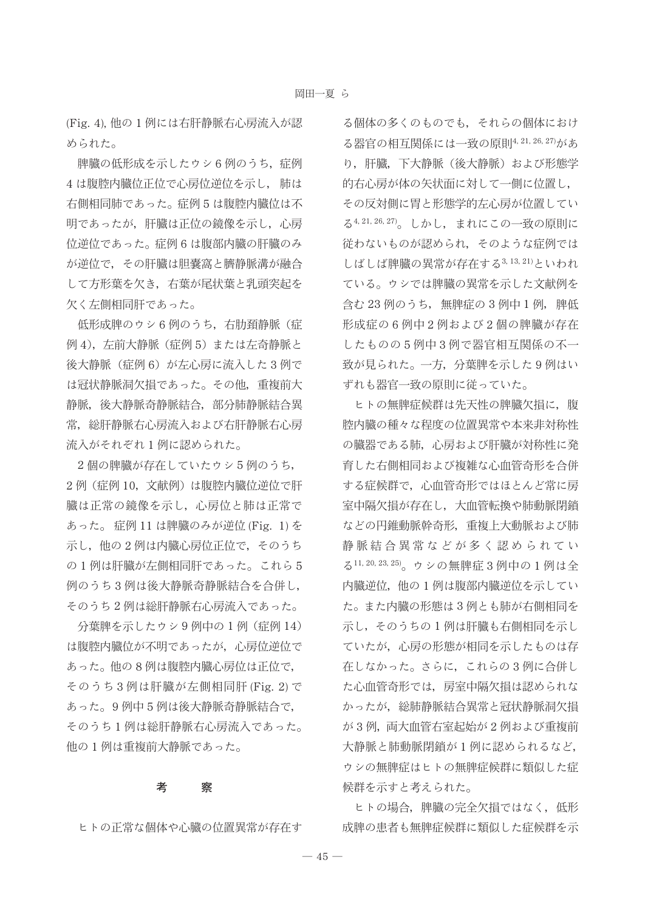(Fig. 4), 他の 1 例には右肝静脈右心房流入が認 められた。

脾臓の低形成を示したウシ6例のうち、症例 4は腹腔内臓位正位で心房位逆位を示し、肺は 右側相同肺であった。症例5は腹腔内臓位は不 明であったが、肝臓は正位の鏡像を示し、心房 位逆位であった。症例6は腹部内臓の肝臓のみ が逆位で、その肝臓は胆嚢窩と臍静脈溝が融合 して方形葉を欠き、右葉が尾状葉と乳頭突起を 欠く左側相同肝であった。

低形成脾のウシ6例のうち,右肋頚静脈(症 例 4), 左前大静脈 (症例 5) または左奇静脈と 後大静脈 (症例6) が左心房に流入した3例で は冠状静脈洞欠損であった。その他、重複前大 静脈, 後大静脈奇静脈結合, 部分肺静脈結合異 常、総肝静脈右心房流入および右肝静脈右心房 流入がそれぞれ1例に認められた。

2個の脾臓が存在していたウシ5例のうち, 2例 (症例 10, 文献例)は腹腔内臓位逆位で肝 臓は正常の鏡像を示し、心房位と肺は正常で あった。症例 11 は脾臓のみが逆位 (Fig. 1) を 示し、他の2例は内臓心房位正位で、そのうち の1例は肝臓が左側相同肝であった。これら5 例のうち3例は後大静脈奇静脈結合を合併し, そのうち2例は総肝静脈右心房流入であった。

分葉脾を示したウシ9例中の1例(症例 14) は腹腔内臓位が不明であったが、心房位逆位で あった。他の8例は腹腔内臓心房位は正位で, そのうち3例は肝臓が左側相同肝(Fig. 2)で あった。9例中5例は後大静脈奇静脈結合で, そのうち1例は総肝静脈右心房流入であった。 他の1例は重複前大静脈であった。

#### 考 察

ヒトの正常な個体や心臓の位置異常が存在す

る個体の多くのものでも、それらの個体におけ る器官の相互関係には一致の原則4,21,26,27)があ り、肝臓,下大静脈(後大静脈)および形態学 的右心房が体の矢状面に対して一側に位置し, その反対側に胃と形態学的左心房が位置してい る4,21,26,27)。しかし、まれにこの一致の原則に 従わないものが認められ、そのような症例では しばしば脾臓の異常が存在する3,13,21)といわれ ている。ウシでは脾臓の異常を示した文献例を 含む 23 例のうち, 無脾症の3例中1例, 脾低 形成症の6例中2例および2個の脾臓が存在 したものの5例中3例で器官相互関係の不一 致が見られた。一方、分葉脾を示した9例はい ずれも器官一致の原則に従っていた。

ヒトの無脾症候群は先天性の脾臓欠損に、腹 腔内臓の種々な程度の位置異常や本来非対称性 の臓器である肺、心房および肝臓が対称性に発 育した右側相同および複雑な心血管奇形を合併 する症候群で、心血管奇形ではほとんど常に房 室中隔欠損が存在し、大血管転換や肺動脈閉鎖 などの円錐動脈幹奇形、重複上大動脈および肺 静脈結合異常などが多く認められてい る11, 20, 23, 25)。ウシの無脾症3例中の1例は全 内臓逆位,他の1例は腹部内臓逆位を示してい た。また内臓の形態は3例とも肺が右側相同を 示し、そのうちの1例は肝臓も右側相同を示し ていたが、心房の形態が相同を示したものは存 在しなかった。さらに、これらの3例に合併し た心血管奇形では、房室中隔欠損は認められな かったが、総肺静脈結合異常と冠状静脈洞欠損 が3例, 両大血管右室起始が2例および重複前 大静脈と肺動脈閉鎖が1例に認められるなど, ウシの無脾症はヒトの無脾症候群に類似した症 候群を示すと考えられた。

ヒトの場合、脾臓の完全欠損ではなく、低形 成脾の患者も無脾症候群に類似した症候群を示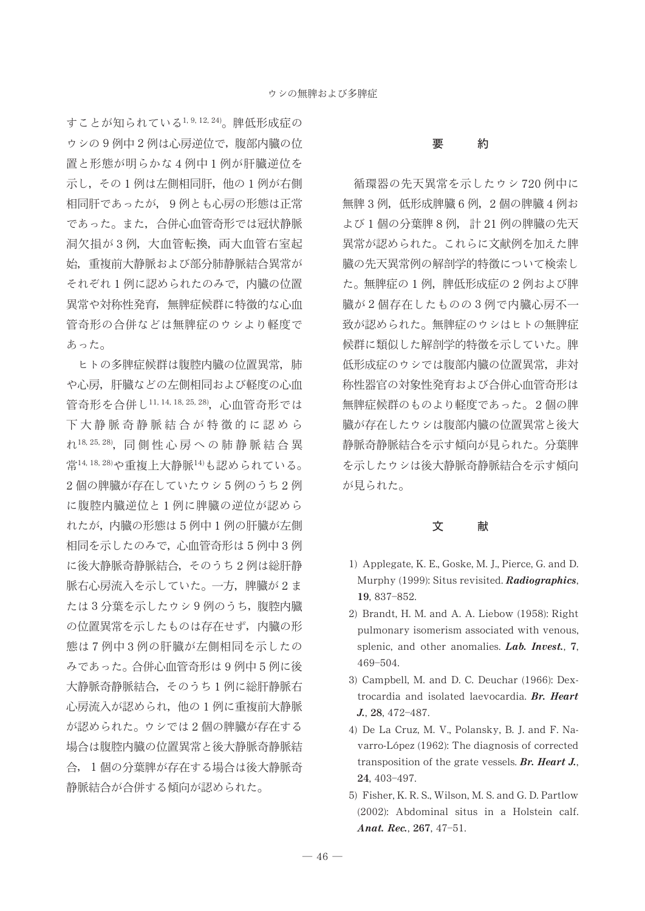すことが知られている1,9,12,24)。脾低形成症の ウシの9例中2例は心房逆位で、腹部内臓の位 置と形態が明らかな4例中1例が肝臓逆位を 示し、その1例は左側相同肝,他の1例が右側 相同肝であったが、9例とも心房の形態は正常 であった。また、合併心血管奇形では冠状静脈 洞欠損が3例, 大血管転換, 両大血管右室起 始、重複前大静脈および部分肺静脈結合異常が それぞれ1例に認められたのみで、内臓の位置 異常や対称性発育、無脾症候群に特徴的な心血 管奇形の合併などは無脾症のウシより軽度で あった。

ヒトの多脾症候群は腹腔内臓の位置異常,肺 や心房、肝臓などの左側相同および軽度の心血 管奇形を合併し11, 14, 18, 25, 28), 心血管奇形では 下大静脈奇静脈結合が特徴的に認めら れ18, 25, 28), 同側性心房への肺静脈結合異 常14,18,28)や重複上大静脈14)も認められている。 2個の脾臓が存在していたウシ5例のうち2例 に腹腔内臓逆位と1例に脾臓の逆位が認めら れたが、内臓の形態は5例中1例の肝臓が左側 相同を示したのみで、心血管奇形は5例中3例 に後大静脈奇静脈結合, そのうち2例は総肝静 脈右心房流入を示していた。一方, 脾臓が2ま たは3分葉を示したウシ9例のうち、腹腔内臓 の位置異常を示したものは存在せず、内臓の形 熊は7例中3例の肝臓が左側相同を示したの みであった。合併心血管奇形は9例中5例に後 大静脈奇静脈結合、そのうち1例に総肝静脈右 心房流入が認められ,他の1例に重複前大静脈 が認められた。ウシでは2個の脾臓が存在する 場合は腹腔内臓の位置異常と後大静脈奇静脈結 合, 1個の分葉脾が存在する場合は後大静脈奇 静脈結合が合併する傾向が認められた。

#### 要 約

循環器の先天異常を示したウシ720例中に 無脾3例, 低形成脾臓6例, 2個の脾臓4例お よび1個の分葉脾8例,計21例の脾臓の先天 異常が認められた。これらに文献例を加えた脾 臓の先天異常例の解剖学的特徴について検索し た。無脾症の1例,脾低形成症の2例および脾 臓が2個存在したものの3例で内臓心房不一 致が認められた。無脾症のウシはヒトの無脾症 候群に類似した解剖学的特徴を示していた。脾 低形成症のウシでは腹部内臓の位置異常、非対 称性器官の対象性発育および合併心血管奇形は 無脾症候群のものより軽度であった。2個の脾 臓が存在したウシは腹部内臓の位置異常と後大 静脈奇静脈結合を示す傾向が見られた。分葉脾 を示したウシは後大静脈奇静脈結合を示す傾向 が見られた。

#### 文献

- 1) Applegate, K. E., Goske, M. J., Pierce, G. and D. Murphy (1999): Situs revisited. Radiographics, 19, 837-852.
- 2) Brandt, H. M. and A. A. Liebow (1958): Right pulmonary isomerism associated with venous, splenic, and other anomalies.  $Lab.$  Invest., 7, 469-504.
- 3) Campbell, M. and D. C. Deuchar (1966): Dextrocardia and isolated laevocardia. Br. Heart J., 28, 472-487.
- 4) De La Cruz, M. V., Polansky, B. J. and F. Navarro-López (1962): The diagnosis of corrected transposition of the grate vessels. Br. Heart J., 24, 403-497.
- 5) Fisher, K. R. S., Wilson, M. S. and G. D. Partlow (2002): Abdominal situs in a Holstein calf. Anat. Rec.,  $267, 47-51$ .